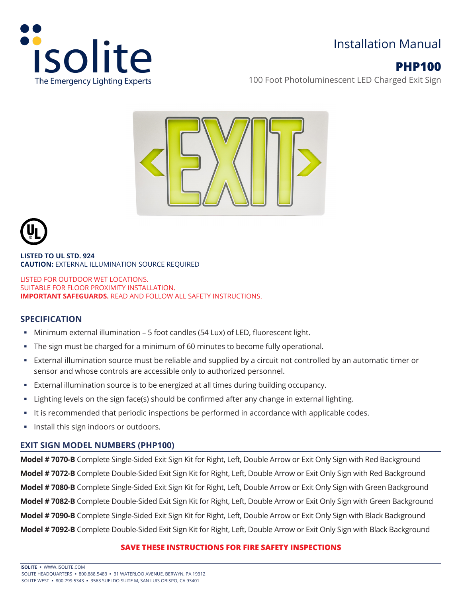

## Installation Manual

# **PHP100**

100 Foot Photoluminescent LED Charged Exit Sign





**LISTED TO UL STD. 924 CAUTION:** EXTERNAL ILLUMINATION SOURCE REQUIRED

LISTED FOR OUTDOOR WET LOCATIONS. SUITABLE FOR FLOOR PROXIMITY INSTALLATION. **IMPORTANT SAFEGUARDS.** READ AND FOLLOW ALL SAFETY INSTRUCTIONS.

### **SPECIFICATION**

- Minimum external illumination 5 foot candles (54 Lux) of LED, fluorescent light.
- The sign must be charged for a minimum of 60 minutes to become fully operational.
- External illumination source must be reliable and supplied by a circuit not controlled by an automatic timer or sensor and whose controls are accessible only to authorized personnel.
- External illumination source is to be energized at all times during building occupancy.
- Lighting levels on the sign face(s) should be confirmed after any change in external lighting.
- It is recommended that periodic inspections be performed in accordance with applicable codes.
- Install this sign indoors or outdoors.

#### **EXIT SIGN MODEL NUMBERS (PHP100)**

**Model # 7070-B** Complete Single-Sided Exit Sign Kit for Right, Left, Double Arrow or Exit Only Sign with Red Background **Model # 7072-B** Complete Double-Sided Exit Sign Kit for Right, Left, Double Arrow or Exit Only Sign with Red Background **Model # 7080-B** Complete Single-Sided Exit Sign Kit for Right, Left, Double Arrow or Exit Only Sign with Green Background **Model # 7082-B** Complete Double-Sided Exit Sign Kit for Right, Left, Double Arrow or Exit Only Sign with Green Background **Model # 7090-B** Complete Single-Sided Exit Sign Kit for Right, Left, Double Arrow or Exit Only Sign with Black Background **Model # 7092-B** Complete Double-Sided Exit Sign Kit for Right, Left, Double Arrow or Exit Only Sign with Black Background

#### **SAVE THESE INSTRUCTIONS FOR FIRE SAFETY INSPECTIONS**